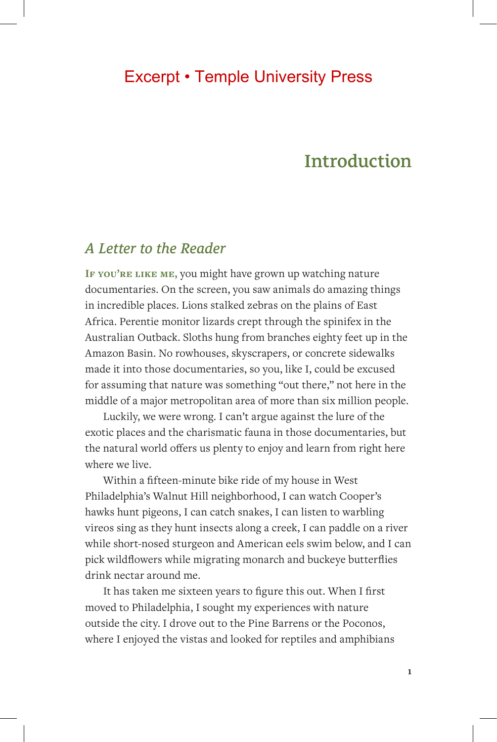# Introduction

#### *A Letter to the Reader*

IF YOU'RE LIKE ME, you might have grown up watching nature documentaries. On the screen, you saw animals do amazing things in incredible places. Lions stalked zebras on the plains of East Africa. Perentie monitor lizards crept through the spinifex in the Australian Outback. Sloths hung from branches eighty feet up in the Amazon Basin. No rowhouses, skyscrapers, or concrete sidewalks made it into those documentaries, so you, like I, could be excused for assuming that nature was something "out there," not here in the middle of a major metropolitan area of more than six million people.

Luckily, we were wrong. I can't argue against the lure of the exotic places and the charismatic fauna in those documentaries, but the natural world offers us plenty to enjoy and learn from right here where we live.

Within a fifteen-minute bike ride of my house in West Philadelphia's Walnut Hill neighborhood, I can watch Cooper's hawks hunt pigeons, I can catch snakes, I can listen to warbling vireos sing as they hunt insects along a creek, I can paddle on a river while short-nosed sturgeon and American eels swim below, and I can pick wildflowers while migrating monarch and buckeye butterflies drink nectar around me.

It has taken me sixteen years to figure this out. When I first moved to Philadelphia, I sought my experiences with nature outside the city. I drove out to the Pine Barrens or the Poconos, where I enjoyed the vistas and looked for reptiles and amphibians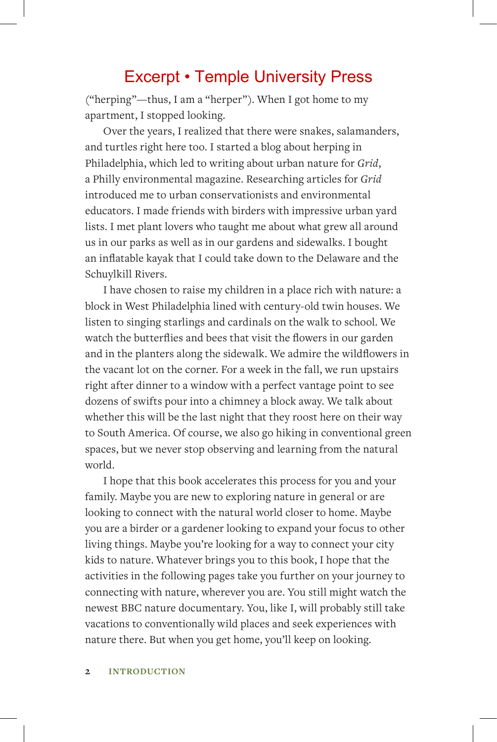("herping"—thus, I am a "herper"). When I got home to my apartment, I stopped looking.

Over the years, I realized that there were snakes, salamanders, and turtles right here too. I started a blog about herping in Philadelphia, which led to writing about urban nature for *Grid*, a Philly environmental magazine. Researching articles for *Grid* introduced me to urban conservationists and environmental educators. I made friends with birders with impressive urban yard lists. I met plant lovers who taught me about what grew all around us in our parks as well as in our gardens and sidewalks. I bought an inflatable kayak that I could take down to the Delaware and the Schuylkill Rivers.

I have chosen to raise my children in a place rich with nature: a block in West Philadelphia lined with century-old twin houses. We listen to singing starlings and cardinals on the walk to school. We watch the butterflies and bees that visit the flowers in our garden and in the planters along the sidewalk. We admire the wildflowers in the vacant lot on the corner. For a week in the fall, we run upstairs right after dinner to a window with a perfect vantage point to see dozens of swifts pour into a chimney a block away. We talk about whether this will be the last night that they roost here on their way to South America. Of course, we also go hiking in conventional green spaces, but we never stop observing and learning from the natural world.

I hope that this book accelerates this process for you and your family. Maybe you are new to exploring nature in general or are looking to connect with the natural world closer to home. Maybe you are a birder or a gardener looking to expand your focus to other living things. Maybe you're looking for a way to connect your city kids to nature. Whatever brings you to this book, I hope that the activities in the following pages take you further on your journey to connecting with nature, wherever you are. You still might watch the newest BBC nature documentary. You, like I, will probably still take vacations to conventionally wild places and seek experiences with nature there. But when you get home, you'll keep on looking.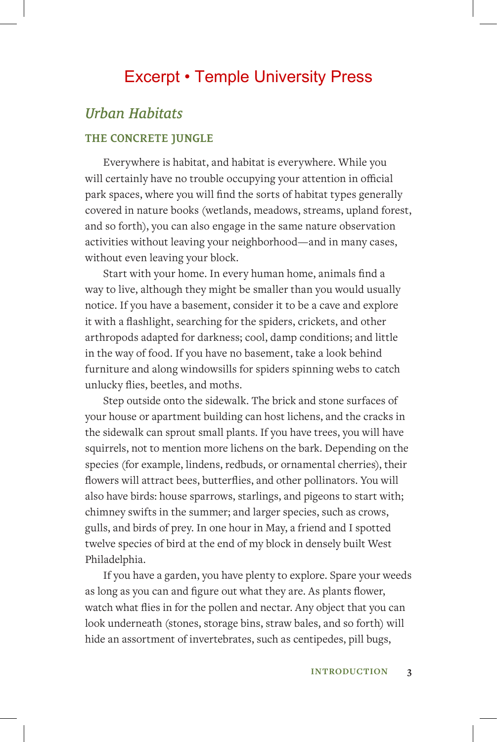#### *Urban Habitats*

#### THE CONCRETE JUNGLE

Everywhere is habitat, and habitat is everywhere. While you will certainly have no trouble occupying your attention in official park spaces, where you will find the sorts of habitat types generally covered in nature books (wetlands, meadows, streams, upland forest, and so forth), you can also engage in the same nature observation activities without leaving your neighborhood—and in many cases, without even leaving your block.

Start with your home. In every human home, animals find a way to live, although they might be smaller than you would usually notice. If you have a basement, consider it to be a cave and explore it with a flashlight, searching for the spiders, crickets, and other arthropods adapted for darkness; cool, damp conditions; and little in the way of food. If you have no basement, take a look behind furniture and along windowsills for spiders spinning webs to catch unlucky flies, beetles, and moths.

Step outside onto the sidewalk. The brick and stone surfaces of your house or apartment building can host lichens, and the cracks in the sidewalk can sprout small plants. If you have trees, you will have squirrels, not to mention more lichens on the bark. Depending on the species (for example, lindens, redbuds, or ornamental cherries), their flowers will attract bees, butterflies, and other pollinators. You will also have birds: house sparrows, starlings, and pigeons to start with; chimney swifts in the summer; and larger species, such as crows, gulls, and birds of prey. In one hour in May, a friend and I spotted twelve species of bird at the end of my block in densely built West Philadelphia.

If you have a garden, you have plenty to explore. Spare your weeds as long as you can and figure out what they are. As plants flower, watch what flies in for the pollen and nectar. Any object that you can look underneath (stones, storage bins, straw bales, and so forth) will hide an assortment of invertebrates, such as centipedes, pill bugs,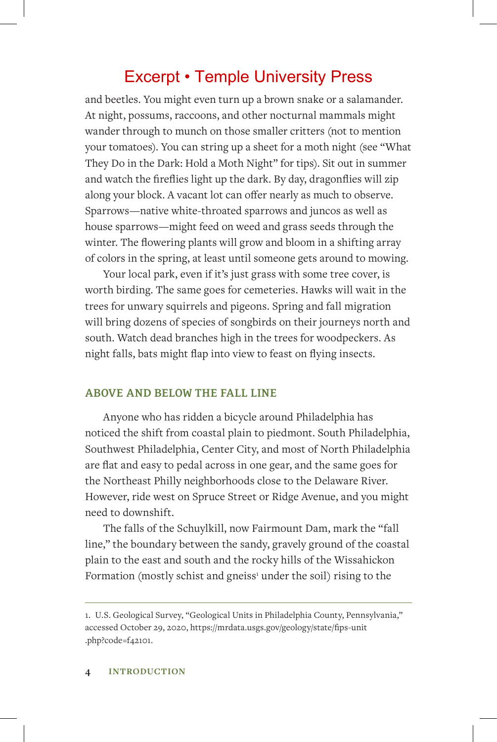and beetles. You might even turn up a brown snake or a salamander. At night, possums, raccoons, and other nocturnal mammals might wander through to munch on those smaller critters (not to mention your tomatoes). You can string up a sheet for a moth night (see "What They Do in the Dark: Hold a Moth Night" for tips). Sit out in summer and watch the fireflies light up the dark. By day, dragonflies will zip along your block. A vacant lot can offer nearly as much to observe. Sparrows—native white-throated sparrows and juncos as well as house sparrows—might feed on weed and grass seeds through the winter. The flowering plants will grow and bloom in a shifting array of colors in the spring, at least until someone gets around to mowing.

Your local park, even if it's just grass with some tree cover, is worth birding. The same goes for cemeteries. Hawks will wait in the trees for unwary squirrels and pigeons. Spring and fall migration will bring dozens of species of songbirds on their journeys north and south. Watch dead branches high in the trees for woodpeckers. As night falls, bats might flap into view to feast on flying insects.

#### ABOVE AND BELOW THE FALL LINE

Anyone who has ridden a bicycle around Philadelphia has noticed the shift from coastal plain to piedmont. South Philadelphia, Southwest Philadelphia, Center City, and most of North Philadelphia are flat and easy to pedal across in one gear, and the same goes for the Northeast Philly neighborhoods close to the Delaware River. However, ride west on Spruce Street or Ridge Avenue, and you might need to downshift.

The falls of the Schuylkill, now Fairmount Dam, mark the "fall line," the boundary between the sandy, gravely ground of the coastal plain to the east and south and the rocky hills of the Wissahickon Formation (mostly schist and gneiss<sup>1</sup> under the soil) rising to the

<sup>1.</sup> U.S. Geological Survey, "Geological Units in Philadelphia County, Pennsylvania," accessed October 29, 2020, https://mrdata.usgs.gov/geology/state/fips-unit .php?code=f42101.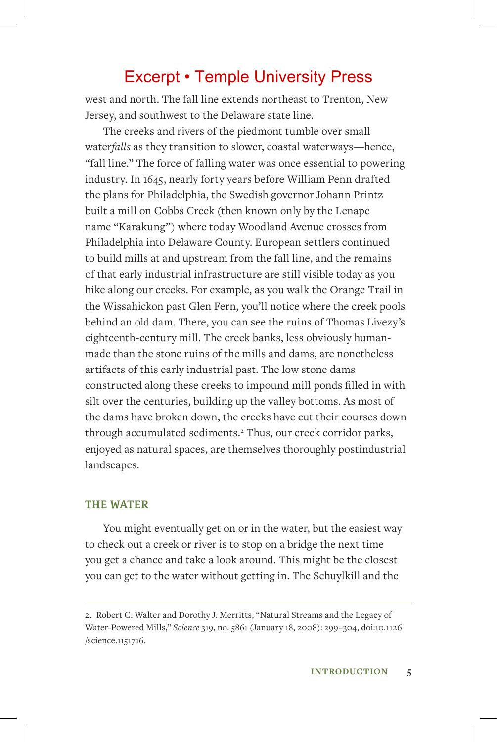west and north. The fall line extends northeast to Trenton, New Jersey, and southwest to the Delaware state line.

The creeks and rivers of the piedmont tumble over small water*falls* as they transition to slower, coastal waterways—hence, "fall line." The force of falling water was once essential to powering industry. In 1645, nearly forty years before William Penn drafted the plans for Philadelphia, the Swedish governor Johann Printz built a mill on Cobbs Creek (then known only by the Lenape name "Karakung") where today Woodland Avenue crosses from Philadelphia into Delaware County. European settlers continued to build mills at and upstream from the fall line, and the remains of that early industrial infrastructure are still visible today as you hike along our creeks. For example, as you walk the Orange Trail in the Wissahickon past Glen Fern, you'll notice where the creek pools behind an old dam. There, you can see the ruins of Thomas Livezy's eighteenth-century mill. The creek banks, less obviously humanmade than the stone ruins of the mills and dams, are nonetheless artifacts of this early industrial past. The low stone dams constructed along these creeks to impound mill ponds filled in with silt over the centuries, building up the valley bottoms. As most of the dams have broken down, the creeks have cut their courses down through accumulated sediments.<sup>2</sup> Thus, our creek corridor parks, enjoyed as natural spaces, are themselves thoroughly postindustrial landscapes.

#### THE WATER

You might eventually get on or in the water, but the easiest way to check out a creek or river is to stop on a bridge the next time you get a chance and take a look around. This might be the closest you can get to the water without getting in. The Schuylkill and the

<sup>2.</sup> Robert C. Walter and Dorothy J. Merritts, "Natural Streams and the Legacy of Water-Powered Mills," *Science* 319, no. 5861 (January 18, 2008): 299–304, doi:10.1126 /science.1151716.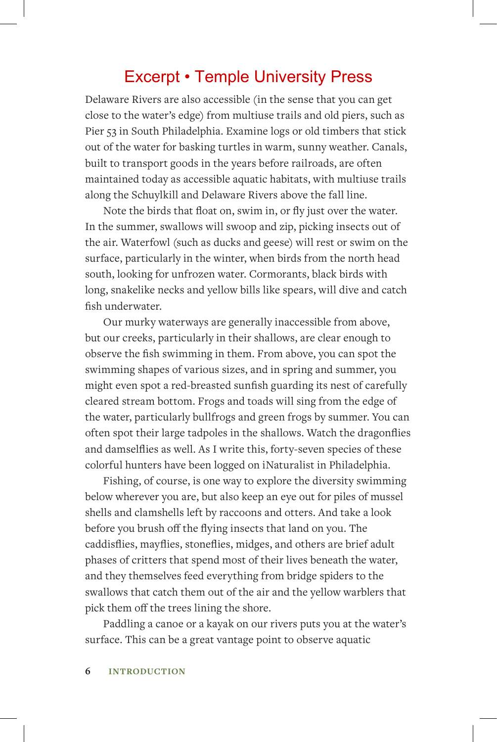Delaware Rivers are also accessible (in the sense that you can get close to the water's edge) from multiuse trails and old piers, such as Pier 53 in South Philadelphia. Examine logs or old timbers that stick out of the water for basking turtles in warm, sunny weather. Canals, built to transport goods in the years before railroads, are often maintained today as accessible aquatic habitats, with multiuse trails along the Schuylkill and Delaware Rivers above the fall line.

Note the birds that float on, swim in, or fly just over the water. In the summer, swallows will swoop and zip, picking insects out of the air. Waterfowl (such as ducks and geese) will rest or swim on the surface, particularly in the winter, when birds from the north head south, looking for unfrozen water. Cormorants, black birds with long, snakelike necks and yellow bills like spears, will dive and catch fish underwater.

Our murky waterways are generally inaccessible from above, but our creeks, particularly in their shallows, are clear enough to observe the fish swimming in them. From above, you can spot the swimming shapes of various sizes, and in spring and summer, you might even spot a red-breasted sunfish guarding its nest of carefully cleared stream bottom. Frogs and toads will sing from the edge of the water, particularly bullfrogs and green frogs by summer. You can often spot their large tadpoles in the shallows. Watch the dragonflies and damselflies as well. As I write this, forty-seven species of these colorful hunters have been logged on iNaturalist in Philadelphia.

Fishing, of course, is one way to explore the diversity swimming below wherever you are, but also keep an eye out for piles of mussel shells and clamshells left by raccoons and otters. And take a look before you brush off the flying insects that land on you. The caddisflies, mayflies, stoneflies, midges, and others are brief adult phases of critters that spend most of their lives beneath the water, and they themselves feed everything from bridge spiders to the swallows that catch them out of the air and the yellow warblers that pick them off the trees lining the shore.

Paddling a canoe or a kayak on our rivers puts you at the water's surface. This can be a great vantage point to observe aquatic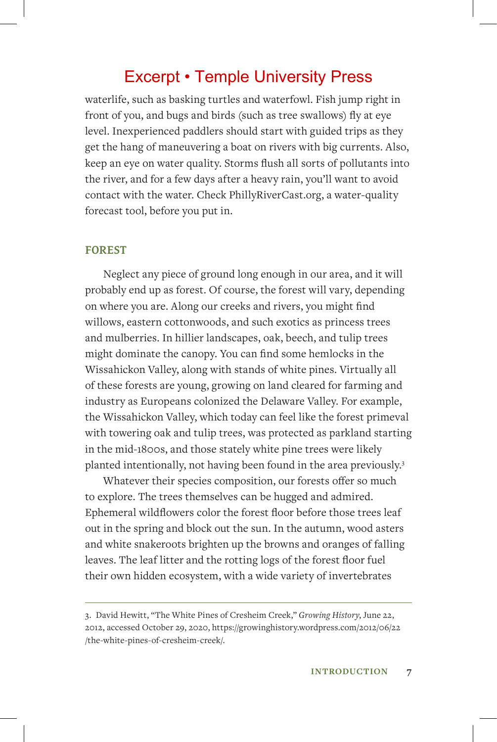waterlife, such as basking turtles and waterfowl. Fish jump right in front of you, and bugs and birds (such as tree swallows) fly at eye level. Inexperienced paddlers should start with guided trips as they get the hang of maneuvering a boat on rivers with big currents. Also, keep an eye on water quality. Storms flush all sorts of pollutants into the river, and for a few days after a heavy rain, you'll want to avoid contact with the water. Check PhillyRiverCast.org, a water-quality forecast tool, before you put in.

#### FOREST

Neglect any piece of ground long enough in our area, and it will probably end up as forest. Of course, the forest will vary, depending on where you are. Along our creeks and rivers, you might find willows, eastern cottonwoods, and such exotics as princess trees and mulberries. In hillier landscapes, oak, beech, and tulip trees might dominate the canopy. You can find some hemlocks in the Wissahickon Valley, along with stands of white pines. Virtually all of these forests are young, growing on land cleared for farming and industry as Europeans colonized the Delaware Valley. For example, the Wissahickon Valley, which today can feel like the forest primeval with towering oak and tulip trees, was protected as parkland starting in the mid-1800s, and those stately white pine trees were likely planted intentionally, not having been found in the area previously.3

Whatever their species composition, our forests offer so much to explore. The trees themselves can be hugged and admired. Ephemeral wildflowers color the forest floor before those trees leaf out in the spring and block out the sun. In the autumn, wood asters and white snakeroots brighten up the browns and oranges of falling leaves. The leaf litter and the rotting logs of the forest floor fuel their own hidden ecosystem, with a wide variety of invertebrates

<sup>3.</sup> David Hewitt, "The White Pines of Cresheim Creek," *Growing History*, June 22, 2012, accessed October 29, 2020, https://growinghistory.wordpress.com/2012/06/22 /the-white-pines-of-cresheim-creek/.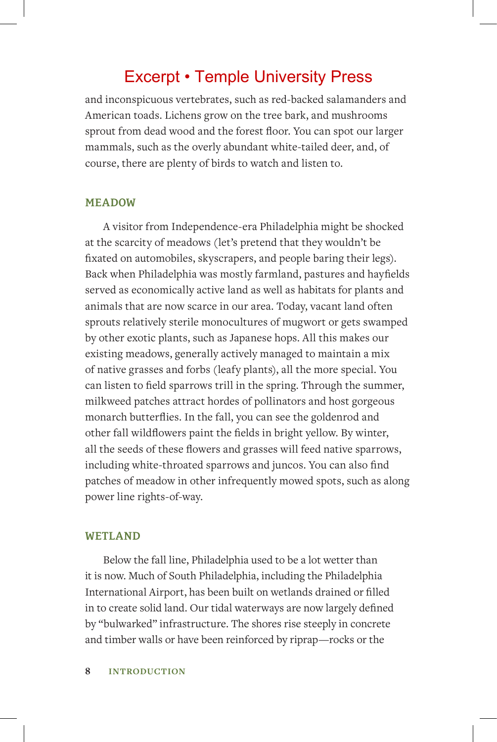and inconspicuous vertebrates, such as red-backed salamanders and American toads. Lichens grow on the tree bark, and mushrooms sprout from dead wood and the forest floor. You can spot our larger mammals, such as the overly abundant white-tailed deer, and, of course, there are plenty of birds to watch and listen to.

#### MEADOW

A visitor from Independence-era Philadelphia might be shocked at the scarcity of meadows (let's pretend that they wouldn't be fixated on automobiles, skyscrapers, and people baring their legs). Back when Philadelphia was mostly farmland, pastures and hayfields served as economically active land as well as habitats for plants and animals that are now scarce in our area. Today, vacant land often sprouts relatively sterile monocultures of mugwort or gets swamped by other exotic plants, such as Japanese hops. All this makes our existing meadows, generally actively managed to maintain a mix of native grasses and forbs (leafy plants), all the more special. You can listen to field sparrows trill in the spring. Through the summer, milkweed patches attract hordes of pollinators and host gorgeous monarch butterflies. In the fall, you can see the goldenrod and other fall wildflowers paint the fields in bright yellow. By winter, all the seeds of these flowers and grasses will feed native sparrows, including white-throated sparrows and juncos. You can also find patches of meadow in other infrequently mowed spots, such as along power line rights-of-way.

#### WETLAND

Below the fall line, Philadelphia used to be a lot wetter than it is now. Much of South Philadelphia, including the Philadelphia International Airport, has been built on wetlands drained or filled in to create solid land. Our tidal waterways are now largely defined by "bulwarked" infrastructure. The shores rise steeply in concrete and timber walls or have been reinforced by riprap—rocks or the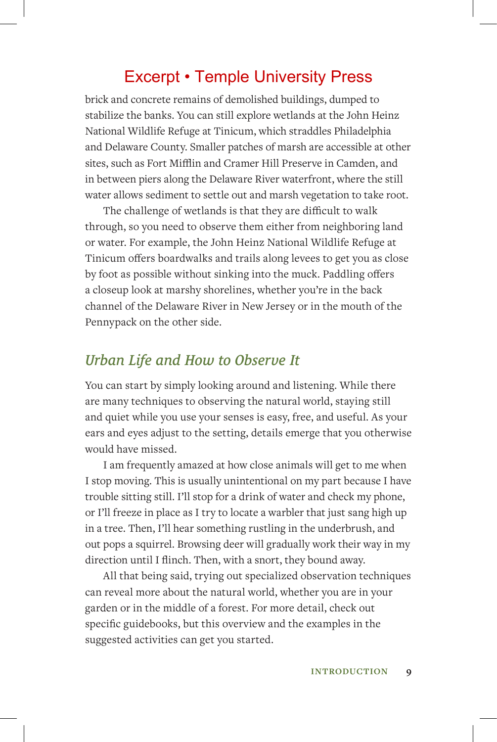brick and concrete remains of demolished buildings, dumped to stabilize the banks. You can still explore wetlands at the John Heinz National Wildlife Refuge at Tinicum, which straddles Philadelphia and Delaware County. Smaller patches of marsh are accessible at other sites, such as Fort Mifflin and Cramer Hill Preserve in Camden, and in between piers along the Delaware River waterfront, where the still water allows sediment to settle out and marsh vegetation to take root.

The challenge of wetlands is that they are difficult to walk through, so you need to observe them either from neighboring land or water. For example, the John Heinz National Wildlife Refuge at Tinicum offers boardwalks and trails along levees to get you as close by foot as possible without sinking into the muck. Paddling offers a closeup look at marshy shorelines, whether you're in the back channel of the Delaware River in New Jersey or in the mouth of the Pennypack on the other side.

### *Urban Life and How to Observe It*

You can start by simply looking around and listening. While there are many techniques to observing the natural world, staying still and quiet while you use your senses is easy, free, and useful. As your ears and eyes adjust to the setting, details emerge that you otherwise would have missed.

I am frequently amazed at how close animals will get to me when I stop moving. This is usually unintentional on my part because I have trouble sitting still. I'll stop for a drink of water and check my phone, or I'll freeze in place as I try to locate a warbler that just sang high up in a tree. Then, I'll hear something rustling in the underbrush, and out pops a squirrel. Browsing deer will gradually work their way in my direction until I flinch. Then, with a snort, they bound away.

All that being said, trying out specialized observation techniques can reveal more about the natural world, whether you are in your garden or in the middle of a forest. For more detail, check out specific guidebooks, but this overview and the examples in the suggested activities can get you started.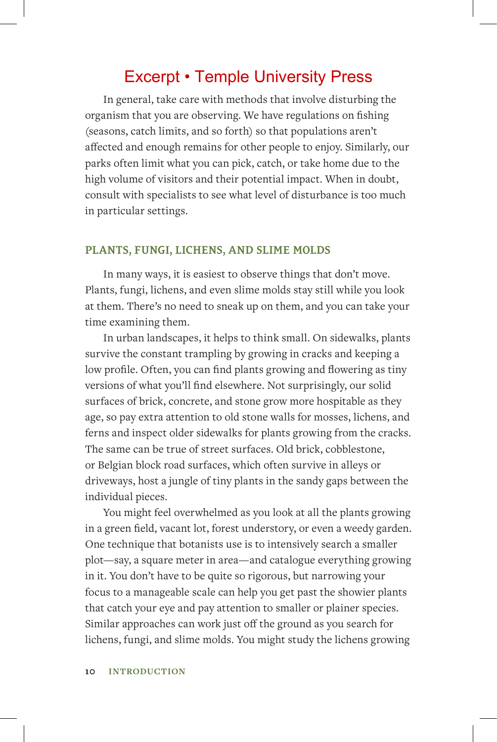In general, take care with methods that involve disturbing the organism that you are observing. We have regulations on fishing (seasons, catch limits, and so forth) so that populations aren't affected and enough remains for other people to enjoy. Similarly, our parks often limit what you can pick, catch, or take home due to the high volume of visitors and their potential impact. When in doubt, consult with specialists to see what level of disturbance is too much in particular settings.

#### PLANTS, FUNGI, LICHENS, AND SLIME MOLDS

In many ways, it is easiest to observe things that don't move. Plants, fungi, lichens, and even slime molds stay still while you look at them. There's no need to sneak up on them, and you can take your time examining them.

In urban landscapes, it helps to think small. On sidewalks, plants survive the constant trampling by growing in cracks and keeping a low profile. Often, you can find plants growing and flowering as tiny versions of what you'll find elsewhere. Not surprisingly, our solid surfaces of brick, concrete, and stone grow more hospitable as they age, so pay extra attention to old stone walls for mosses, lichens, and ferns and inspect older sidewalks for plants growing from the cracks. The same can be true of street surfaces. Old brick, cobblestone, or Belgian block road surfaces, which often survive in alleys or driveways, host a jungle of tiny plants in the sandy gaps between the individual pieces.

You might feel overwhelmed as you look at all the plants growing in a green field, vacant lot, forest understory, or even a weedy garden. One technique that botanists use is to intensively search a smaller plot—say, a square meter in area—and catalogue everything growing in it. You don't have to be quite so rigorous, but narrowing your focus to a manageable scale can help you get past the showier plants that catch your eye and pay attention to smaller or plainer species. Similar approaches can work just off the ground as you search for lichens, fungi, and slime molds. You might study the lichens growing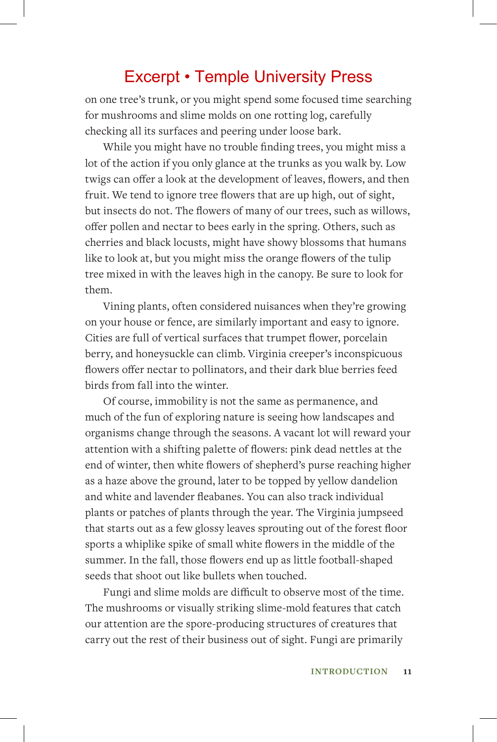on one tree's trunk, or you might spend some focused time searching for mushrooms and slime molds on one rotting log, carefully checking all its surfaces and peering under loose bark.

While you might have no trouble finding trees, you might miss a lot of the action if you only glance at the trunks as you walk by. Low twigs can offer a look at the development of leaves, flowers, and then fruit. We tend to ignore tree flowers that are up high, out of sight, but insects do not. The flowers of many of our trees, such as willows, offer pollen and nectar to bees early in the spring. Others, such as cherries and black locusts, might have showy blossoms that humans like to look at, but you might miss the orange flowers of the tulip tree mixed in with the leaves high in the canopy. Be sure to look for them.

Vining plants, often considered nuisances when they're growing on your house or fence, are similarly important and easy to ignore. Cities are full of vertical surfaces that trumpet flower, porcelain berry, and honeysuckle can climb. Virginia creeper's inconspicuous flowers offer nectar to pollinators, and their dark blue berries feed birds from fall into the winter.

Of course, immobility is not the same as permanence, and much of the fun of exploring nature is seeing how landscapes and organisms change through the seasons. A vacant lot will reward your attention with a shifting palette of flowers: pink dead nettles at the end of winter, then white flowers of shepherd's purse reaching higher as a haze above the ground, later to be topped by yellow dandelion and white and lavender fleabanes. You can also track individual plants or patches of plants through the year. The Virginia jumpseed that starts out as a few glossy leaves sprouting out of the forest floor sports a whiplike spike of small white flowers in the middle of the summer. In the fall, those flowers end up as little football-shaped seeds that shoot out like bullets when touched.

Fungi and slime molds are difficult to observe most of the time. The mushrooms or visually striking slime-mold features that catch our attention are the spore-producing structures of creatures that carry out the rest of their business out of sight. Fungi are primarily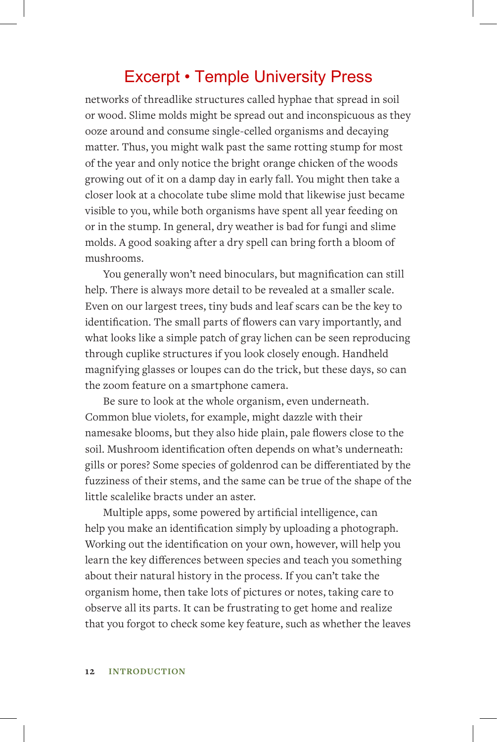networks of threadlike structures called hyphae that spread in soil or wood. Slime molds might be spread out and inconspicuous as they ooze around and consume single-celled organisms and decaying matter. Thus, you might walk past the same rotting stump for most of the year and only notice the bright orange chicken of the woods growing out of it on a damp day in early fall. You might then take a closer look at a chocolate tube slime mold that likewise just became visible to you, while both organisms have spent all year feeding on or in the stump. In general, dry weather is bad for fungi and slime molds. A good soaking after a dry spell can bring forth a bloom of mushrooms.

You generally won't need binoculars, but magnification can still help. There is always more detail to be revealed at a smaller scale. Even on our largest trees, tiny buds and leaf scars can be the key to identification. The small parts of flowers can vary importantly, and what looks like a simple patch of gray lichen can be seen reproducing through cuplike structures if you look closely enough. Handheld magnifying glasses or loupes can do the trick, but these days, so can the zoom feature on a smartphone camera.

Be sure to look at the whole organism, even underneath. Common blue violets, for example, might dazzle with their namesake blooms, but they also hide plain, pale flowers close to the soil. Mushroom identification often depends on what's underneath: gills or pores? Some species of goldenrod can be differentiated by the fuzziness of their stems, and the same can be true of the shape of the little scalelike bracts under an aster.

Multiple apps, some powered by artificial intelligence, can help you make an identification simply by uploading a photograph. Working out the identification on your own, however, will help you learn the key differences between species and teach you something about their natural history in the process. If you can't take the organism home, then take lots of pictures or notes, taking care to observe all its parts. It can be frustrating to get home and realize that you forgot to check some key feature, such as whether the leaves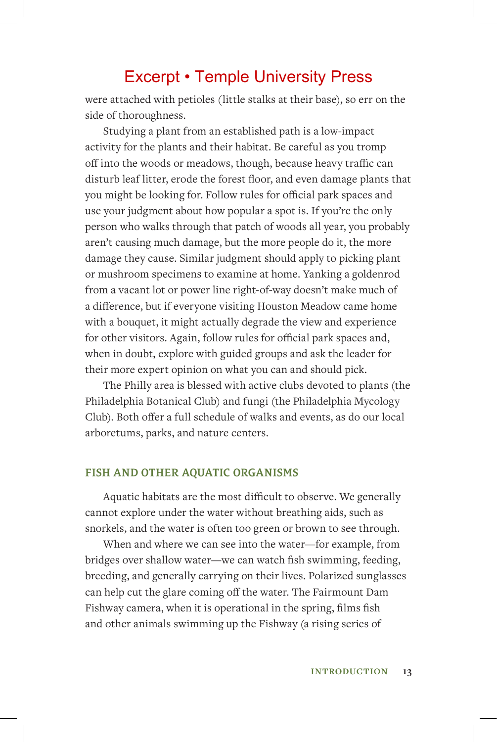were attached with petioles (little stalks at their base), so err on the side of thoroughness.

Studying a plant from an established path is a low-impact activity for the plants and their habitat. Be careful as you tromp off into the woods or meadows, though, because heavy traffic can disturb leaf litter, erode the forest floor, and even damage plants that you might be looking for. Follow rules for official park spaces and use your judgment about how popular a spot is. If you're the only person who walks through that patch of woods all year, you probably aren't causing much damage, but the more people do it, the more damage they cause. Similar judgment should apply to picking plant or mushroom specimens to examine at home. Yanking a goldenrod from a vacant lot or power line right-of-way doesn't make much of a difference, but if everyone visiting Houston Meadow came home with a bouquet, it might actually degrade the view and experience for other visitors. Again, follow rules for official park spaces and, when in doubt, explore with guided groups and ask the leader for their more expert opinion on what you can and should pick.

The Philly area is blessed with active clubs devoted to plants (the Philadelphia Botanical Club) and fungi (the Philadelphia Mycology Club). Both offer a full schedule of walks and events, as do our local arboretums, parks, and nature centers.

#### FISH AND OTHER AQUATIC ORGANISMS

Aquatic habitats are the most difficult to observe. We generally cannot explore under the water without breathing aids, such as snorkels, and the water is often too green or brown to see through.

When and where we can see into the water—for example, from bridges over shallow water—we can watch fish swimming, feeding, breeding, and generally carrying on their lives. Polarized sunglasses can help cut the glare coming off the water. The Fairmount Dam Fishway camera, when it is operational in the spring, films fish and other animals swimming up the Fishway (a rising series of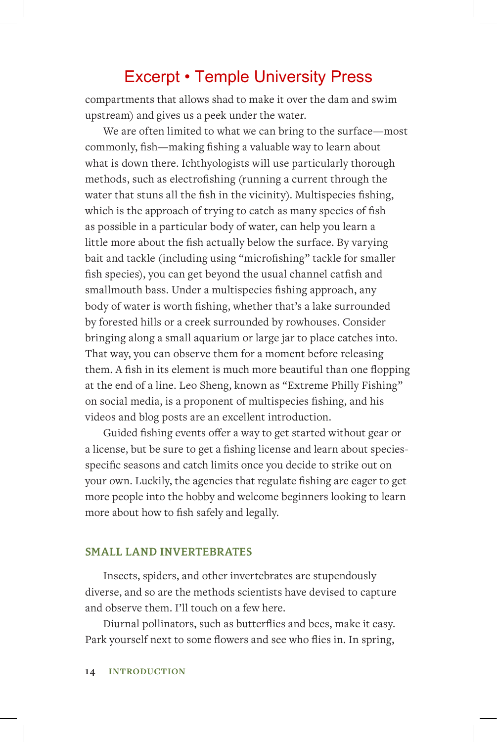compartments that allows shad to make it over the dam and swim upstream) and gives us a peek under the water.

We are often limited to what we can bring to the surface—most commonly, fish—making fishing a valuable way to learn about what is down there. Ichthyologists will use particularly thorough methods, such as electrofishing (running a current through the water that stuns all the fish in the vicinity). Multispecies fishing, which is the approach of trying to catch as many species of fish as possible in a particular body of water, can help you learn a little more about the fish actually below the surface. By varying bait and tackle (including using "microfishing" tackle for smaller fish species), you can get beyond the usual channel catfish and smallmouth bass. Under a multispecies fishing approach, any body of water is worth fishing, whether that's a lake surrounded by forested hills or a creek surrounded by rowhouses. Consider bringing along a small aquarium or large jar to place catches into. That way, you can observe them for a moment before releasing them. A fish in its element is much more beautiful than one flopping at the end of a line. Leo Sheng, known as "Extreme Philly Fishing" on social media, is a proponent of multispecies fishing, and his videos and blog posts are an excellent introduction.

Guided fishing events offer a way to get started without gear or a license, but be sure to get a fishing license and learn about speciesspecific seasons and catch limits once you decide to strike out on your own. Luckily, the agencies that regulate fishing are eager to get more people into the hobby and welcome beginners looking to learn more about how to fish safely and legally.

#### SMALL LAND INVERTEBRATES

Insects, spiders, and other invertebrates are stupendously diverse, and so are the methods scientists have devised to capture and observe them. I'll touch on a few here.

Diurnal pollinators, such as butterflies and bees, make it easy. Park yourself next to some flowers and see who flies in. In spring,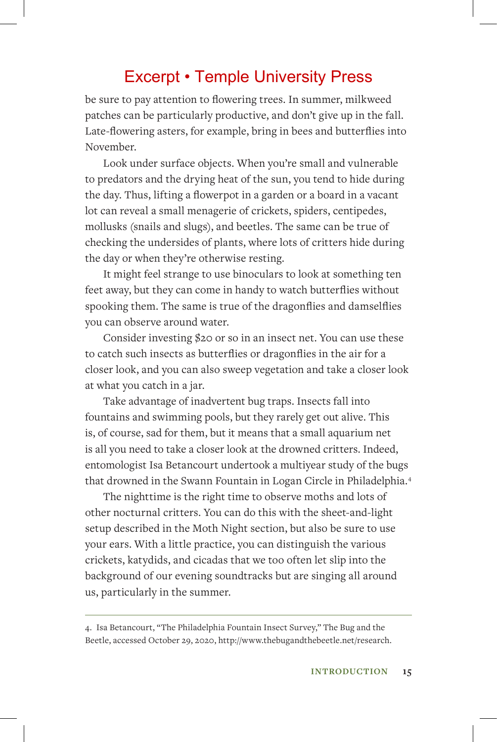be sure to pay attention to flowering trees. In summer, milkweed patches can be particularly productive, and don't give up in the fall. Late-flowering asters, for example, bring in bees and butterflies into November.

Look under surface objects. When you're small and vulnerable to predators and the drying heat of the sun, you tend to hide during the day. Thus, lifting a flowerpot in a garden or a board in a vacant lot can reveal a small menagerie of crickets, spiders, centipedes, mollusks (snails and slugs), and beetles. The same can be true of checking the undersides of plants, where lots of critters hide during the day or when they're otherwise resting.

It might feel strange to use binoculars to look at something ten feet away, but they can come in handy to watch butterflies without spooking them. The same is true of the dragonflies and damselflies you can observe around water.

Consider investing \$20 or so in an insect net. You can use these to catch such insects as butterflies or dragonflies in the air for a closer look, and you can also sweep vegetation and take a closer look at what you catch in a jar.

Take advantage of inadvertent bug traps. Insects fall into fountains and swimming pools, but they rarely get out alive. This is, of course, sad for them, but it means that a small aquarium net is all you need to take a closer look at the drowned critters. Indeed, entomologist Isa Betancourt undertook a multiyear study of the bugs that drowned in the Swann Fountain in Logan Circle in Philadelphia.4

The nighttime is the right time to observe moths and lots of other nocturnal critters. You can do this with the sheet-and-light setup described in the Moth Night section, but also be sure to use your ears. With a little practice, you can distinguish the various crickets, katydids, and cicadas that we too often let slip into the background of our evening soundtracks but are singing all around us, particularly in the summer.

<sup>4.</sup> Isa Betancourt, "The Philadelphia Fountain Insect Survey," The Bug and the Beetle, accessed October 29, 2020, http://www.thebugandthebeetle.net/research.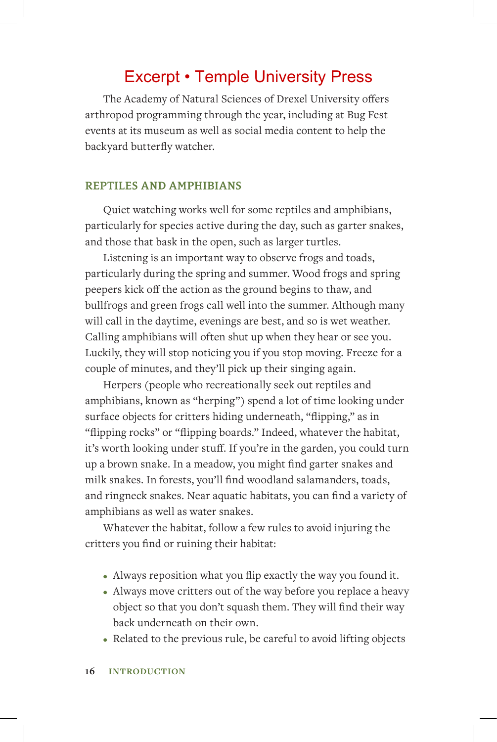The Academy of Natural Sciences of Drexel University offers arthropod programming through the year, including at Bug Fest events at its museum as well as social media content to help the backyard butterfly watcher.

#### REPTILES AND AMPHIBIANS

Quiet watching works well for some reptiles and amphibians, particularly for species active during the day, such as garter snakes, and those that bask in the open, such as larger turtles.

Listening is an important way to observe frogs and toads, particularly during the spring and summer. Wood frogs and spring peepers kick off the action as the ground begins to thaw, and bullfrogs and green frogs call well into the summer. Although many will call in the daytime, evenings are best, and so is wet weather. Calling amphibians will often shut up when they hear or see you. Luckily, they will stop noticing you if you stop moving. Freeze for a couple of minutes, and they'll pick up their singing again.

Herpers (people who recreationally seek out reptiles and amphibians, known as "herping") spend a lot of time looking under surface objects for critters hiding underneath, "flipping," as in "flipping rocks" or "flipping boards." Indeed, whatever the habitat, it's worth looking under stuff. If you're in the garden, you could turn up a brown snake. In a meadow, you might find garter snakes and milk snakes. In forests, you'll find woodland salamanders, toads, and ringneck snakes. Near aquatic habitats, you can find a variety of amphibians as well as water snakes.

Whatever the habitat, follow a few rules to avoid injuring the critters you find or ruining their habitat:

- Always reposition what you flip exactly the way you found it.
- Always move critters out of the way before you replace a heavy object so that you don't squash them. They will find their way back underneath on their own.
- Related to the previous rule, be careful to avoid lifting objects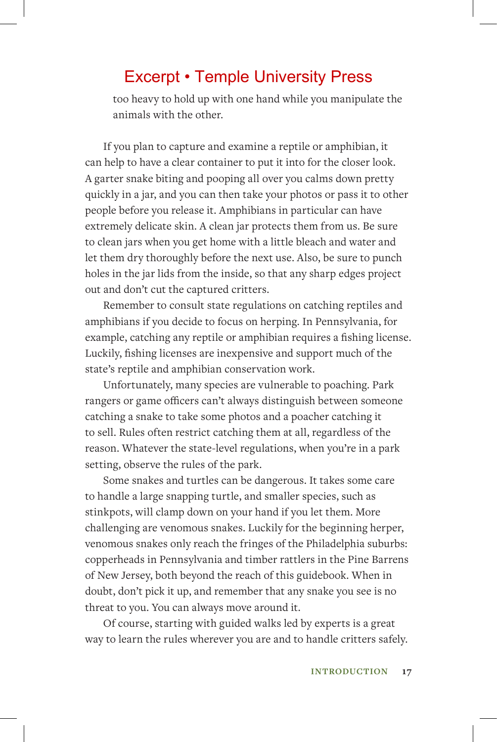too heavy to hold up with one hand while you manipulate the animals with the other.

If you plan to capture and examine a reptile or amphibian, it can help to have a clear container to put it into for the closer look. A garter snake biting and pooping all over you calms down pretty quickly in a jar, and you can then take your photos or pass it to other people before you release it. Amphibians in particular can have extremely delicate skin. A clean jar protects them from us. Be sure to clean jars when you get home with a little bleach and water and let them dry thoroughly before the next use. Also, be sure to punch holes in the jar lids from the inside, so that any sharp edges project out and don't cut the captured critters.

Remember to consult state regulations on catching reptiles and amphibians if you decide to focus on herping. In Pennsylvania, for example, catching any reptile or amphibian requires a fishing license. Luckily, fishing licenses are inexpensive and support much of the state's reptile and amphibian conservation work.

Unfortunately, many species are vulnerable to poaching. Park rangers or game officers can't always distinguish between someone catching a snake to take some photos and a poacher catching it to sell. Rules often restrict catching them at all, regardless of the reason. Whatever the state-level regulations, when you're in a park setting, observe the rules of the park.

Some snakes and turtles can be dangerous. It takes some care to handle a large snapping turtle, and smaller species, such as stinkpots, will clamp down on your hand if you let them. More challenging are venomous snakes. Luckily for the beginning herper, venomous snakes only reach the fringes of the Philadelphia suburbs: copperheads in Pennsylvania and timber rattlers in the Pine Barrens of New Jersey, both beyond the reach of this guidebook. When in doubt, don't pick it up, and remember that any snake you see is no threat to you. You can always move around it.

Of course, starting with guided walks led by experts is a great way to learn the rules wherever you are and to handle critters safely.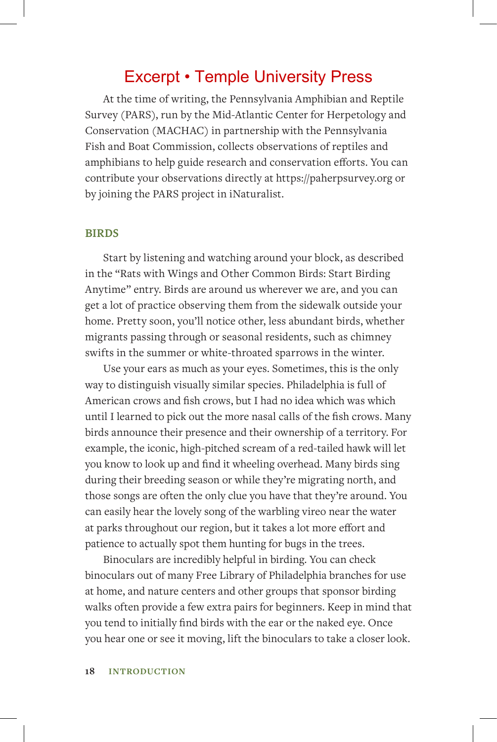At the time of writing, the Pennsylvania Amphibian and Reptile Survey (PARS), run by the Mid-Atlantic Center for Herpetology and Conservation (MACHAC) in partnership with the Pennsylvania Fish and Boat Commission, collects observations of reptiles and amphibians to help guide research and conservation efforts. You can contribute your observations directly at https://paherpsurvey.org or by joining the PARS project in iNaturalist.

#### **BIRDS**

Start by listening and watching around your block, as described in the "Rats with Wings and Other Common Birds: Start Birding Anytime" entry. Birds are around us wherever we are, and you can get a lot of practice observing them from the sidewalk outside your home. Pretty soon, you'll notice other, less abundant birds, whether migrants passing through or seasonal residents, such as chimney swifts in the summer or white-throated sparrows in the winter.

Use your ears as much as your eyes. Sometimes, this is the only way to distinguish visually similar species. Philadelphia is full of American crows and fish crows, but I had no idea which was which until I learned to pick out the more nasal calls of the fish crows. Many birds announce their presence and their ownership of a territory. For example, the iconic, high-pitched scream of a red-tailed hawk will let you know to look up and find it wheeling overhead. Many birds sing during their breeding season or while they're migrating north, and those songs are often the only clue you have that they're around. You can easily hear the lovely song of the warbling vireo near the water at parks throughout our region, but it takes a lot more effort and patience to actually spot them hunting for bugs in the trees.

Binoculars are incredibly helpful in birding. You can check binoculars out of many Free Library of Philadelphia branches for use at home, and nature centers and other groups that sponsor birding walks often provide a few extra pairs for beginners. Keep in mind that you tend to initially find birds with the ear or the naked eye. Once you hear one or see it moving, lift the binoculars to take a closer look.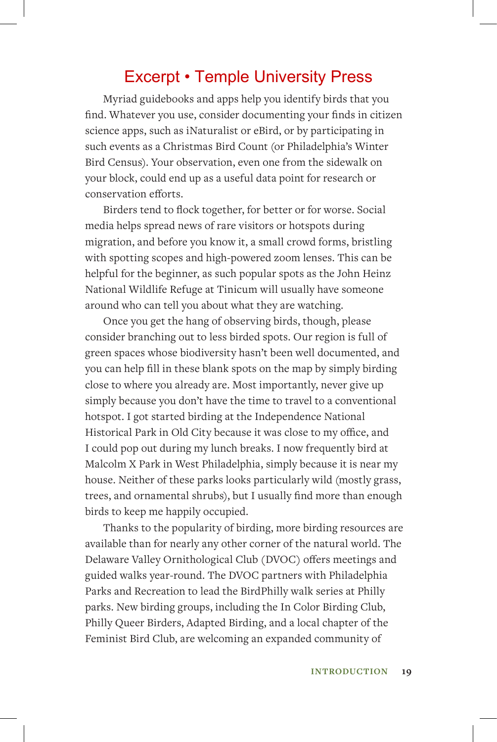Myriad guidebooks and apps help you identify birds that you find. Whatever you use, consider documenting your finds in citizen science apps, such as iNaturalist or eBird, or by participating in such events as a Christmas Bird Count (or Philadelphia's Winter Bird Census). Your observation, even one from the sidewalk on your block, could end up as a useful data point for research or conservation efforts.

Birders tend to flock together, for better or for worse. Social media helps spread news of rare visitors or hotspots during migration, and before you know it, a small crowd forms, bristling with spotting scopes and high-powered zoom lenses. This can be helpful for the beginner, as such popular spots as the John Heinz National Wildlife Refuge at Tinicum will usually have someone around who can tell you about what they are watching.

Once you get the hang of observing birds, though, please consider branching out to less birded spots. Our region is full of green spaces whose biodiversity hasn't been well documented, and you can help fill in these blank spots on the map by simply birding close to where you already are. Most importantly, never give up simply because you don't have the time to travel to a conventional hotspot. I got started birding at the Independence National Historical Park in Old City because it was close to my office, and I could pop out during my lunch breaks. I now frequently bird at Malcolm X Park in West Philadelphia, simply because it is near my house. Neither of these parks looks particularly wild (mostly grass, trees, and ornamental shrubs), but I usually find more than enough birds to keep me happily occupied.

Thanks to the popularity of birding, more birding resources are available than for nearly any other corner of the natural world. The Delaware Valley Ornithological Club (DVOC) offers meetings and guided walks year-round. The DVOC partners with Philadelphia Parks and Recreation to lead the BirdPhilly walk series at Philly parks. New birding groups, including the In Color Birding Club, Philly Queer Birders, Adapted Birding, and a local chapter of the Feminist Bird Club, are welcoming an expanded community of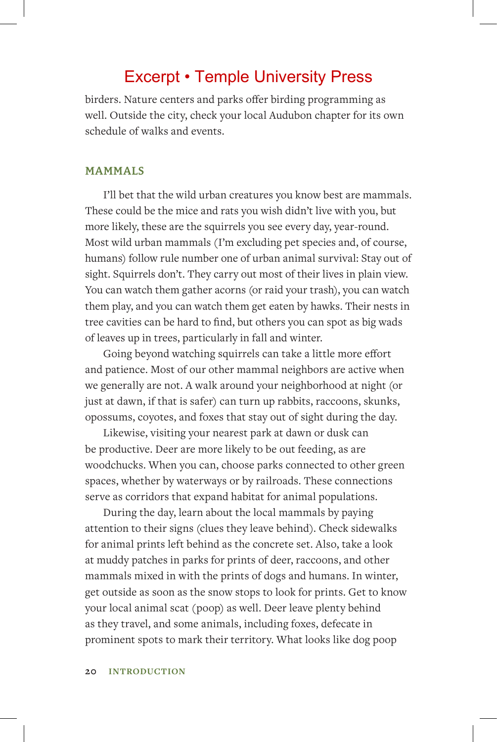birders. Nature centers and parks offer birding programming as well. Outside the city, check your local Audubon chapter for its own schedule of walks and events.

#### MAMMALS

I'll bet that the wild urban creatures you know best are mammals. These could be the mice and rats you wish didn't live with you, but more likely, these are the squirrels you see every day, year-round. Most wild urban mammals (I'm excluding pet species and, of course, humans) follow rule number one of urban animal survival: Stay out of sight. Squirrels don't. They carry out most of their lives in plain view. You can watch them gather acorns (or raid your trash), you can watch them play, and you can watch them get eaten by hawks. Their nests in tree cavities can be hard to find, but others you can spot as big wads of leaves up in trees, particularly in fall and winter.

Going beyond watching squirrels can take a little more effort and patience. Most of our other mammal neighbors are active when we generally are not. A walk around your neighborhood at night (or just at dawn, if that is safer) can turn up rabbits, raccoons, skunks, opossums, coyotes, and foxes that stay out of sight during the day.

Likewise, visiting your nearest park at dawn or dusk can be productive. Deer are more likely to be out feeding, as are woodchucks. When you can, choose parks connected to other green spaces, whether by waterways or by railroads. These connections serve as corridors that expand habitat for animal populations.

During the day, learn about the local mammals by paying attention to their signs (clues they leave behind). Check sidewalks for animal prints left behind as the concrete set. Also, take a look at muddy patches in parks for prints of deer, raccoons, and other mammals mixed in with the prints of dogs and humans. In winter, get outside as soon as the snow stops to look for prints. Get to know your local animal scat (poop) as well. Deer leave plenty behind as they travel, and some animals, including foxes, defecate in prominent spots to mark their territory. What looks like dog poop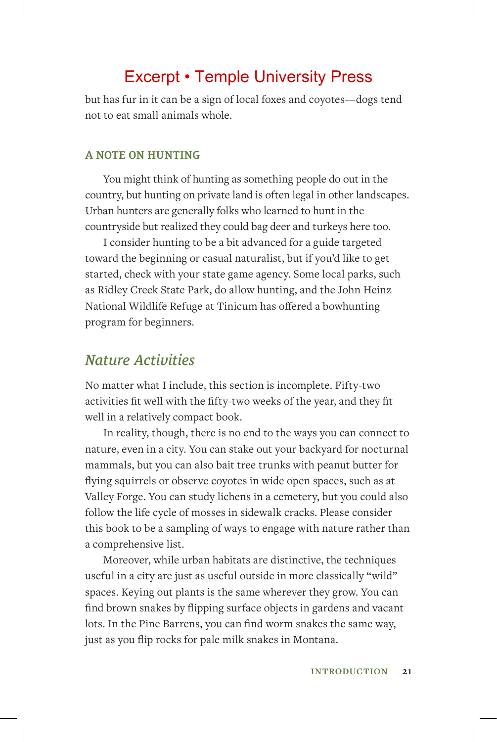but has fur in it can be a sign of local foxes and coyotes—dogs tend not to eat small animals whole.

#### A NOTE ON HUNTING

You might think of hunting as something people do out in the country, but hunting on private land is often legal in other landscapes. Urban hunters are generally folks who learned to hunt in the countryside but realized they could bag deer and turkeys here too.

I consider hunting to be a bit advanced for a guide targeted toward the beginning or casual naturalist, but if you'd like to get started, check with your state game agency. Some local parks, such as Ridley Creek State Park, do allow hunting, and the John Heinz National Wildlife Refuge at Tinicum has offered a bowhunting program for beginners.

### *Nature Activities*

No matter what I include, this section is incomplete. Fifty-two activities fit well with the fifty-two weeks of the year, and they fit well in a relatively compact book.

In reality, though, there is no end to the ways you can connect to nature, even in a city. You can stake out your backyard for nocturnal mammals, but you can also bait tree trunks with peanut butter for flying squirrels or observe coyotes in wide open spaces, such as at Valley Forge. You can study lichens in a cemetery, but you could also follow the life cycle of mosses in sidewalk cracks. Please consider this book to be a sampling of ways to engage with nature rather than a comprehensive list.

Moreover, while urban habitats are distinctive, the techniques useful in a city are just as useful outside in more classically "wild" spaces. Keying out plants is the same wherever they grow. You can find brown snakes by flipping surface objects in gardens and vacant lots. In the Pine Barrens, you can find worm snakes the same way, just as you flip rocks for pale milk snakes in Montana.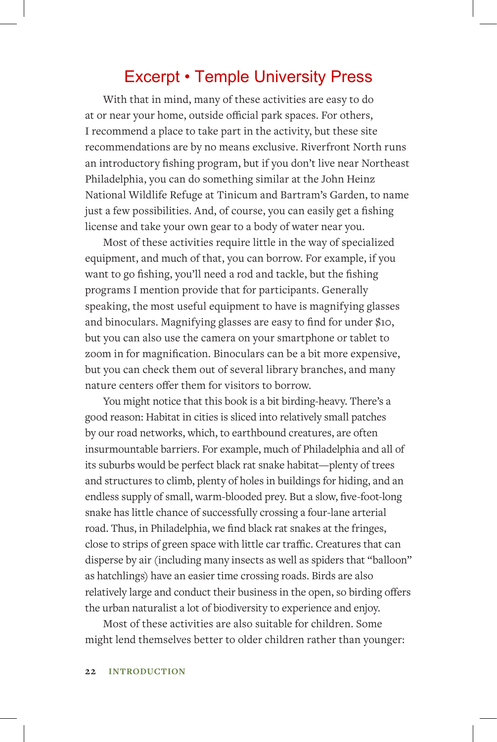With that in mind, many of these activities are easy to do at or near your home, outside official park spaces. For others, I recommend a place to take part in the activity, but these site recommendations are by no means exclusive. Riverfront North runs an introductory fishing program, but if you don't live near Northeast Philadelphia, you can do something similar at the John Heinz National Wildlife Refuge at Tinicum and Bartram's Garden, to name just a few possibilities. And, of course, you can easily get a fishing license and take your own gear to a body of water near you.

Most of these activities require little in the way of specialized equipment, and much of that, you can borrow. For example, if you want to go fishing, you'll need a rod and tackle, but the fishing programs I mention provide that for participants. Generally speaking, the most useful equipment to have is magnifying glasses and binoculars. Magnifying glasses are easy to find for under \$10, but you can also use the camera on your smartphone or tablet to zoom in for magnification. Binoculars can be a bit more expensive, but you can check them out of several library branches, and many nature centers offer them for visitors to borrow.

You might notice that this book is a bit birding-heavy. There's a good reason: Habitat in cities is sliced into relatively small patches by our road networks, which, to earthbound creatures, are often insurmountable barriers. For example, much of Philadelphia and all of its suburbs would be perfect black rat snake habitat—plenty of trees and structures to climb, plenty of holes in buildings for hiding, and an endless supply of small, warm-blooded prey. But a slow, five-foot-long snake has little chance of successfully crossing a four-lane arterial road. Thus, in Philadelphia, we find black rat snakes at the fringes, close to strips of green space with little car traffic. Creatures that can disperse by air (including many insects as well as spiders that "balloon" as hatchlings) have an easier time crossing roads. Birds are also relatively large and conduct their business in the open, so birding offers the urban naturalist a lot of biodiversity to experience and enjoy.

Most of these activities are also suitable for children. Some might lend themselves better to older children rather than younger: